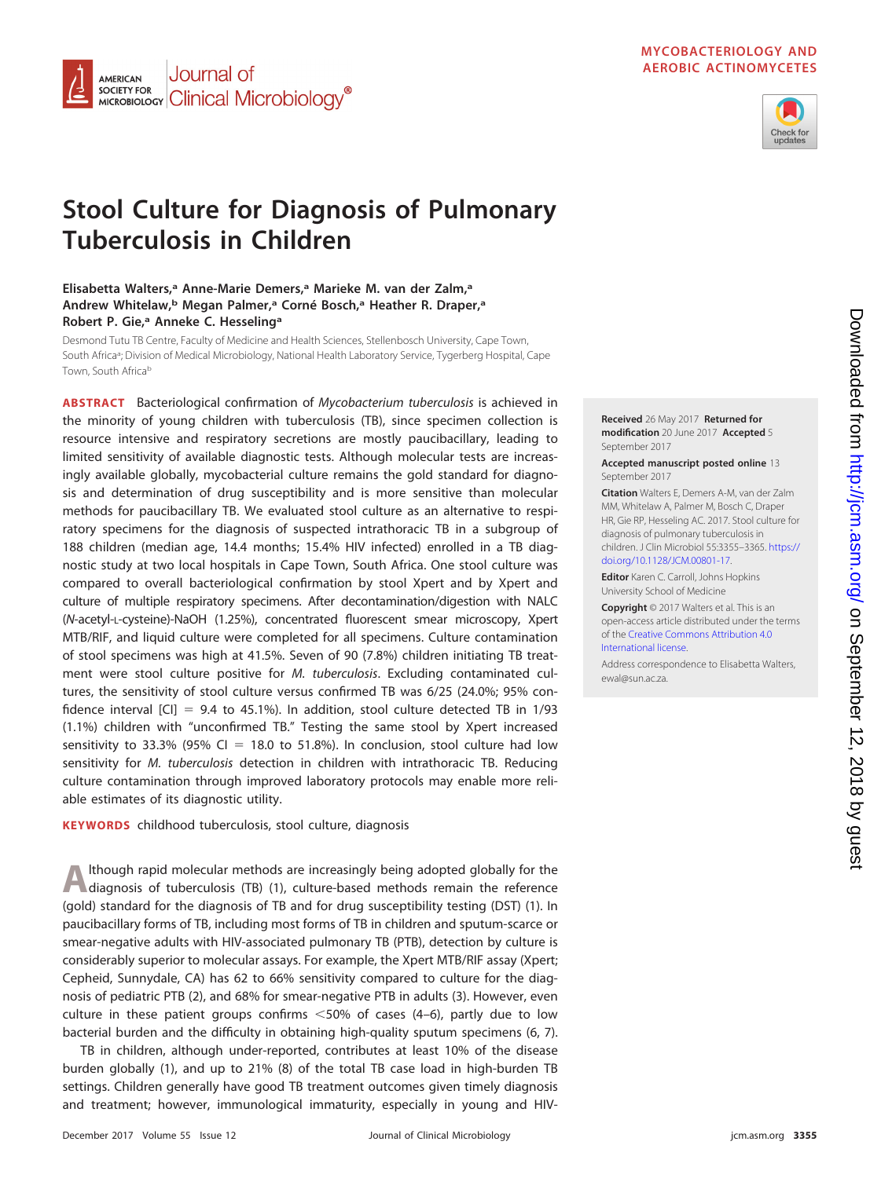## **MYCOBACTERIOLOGY AND AEROBIC ACTINOMYCETES**



# **Stool Culture for Diagnosis of Pulmonary Tuberculosis in Children**

# **Elisabetta Walters,a Anne-Marie Demers,a Marieke M. van der Zalm,a Andrew Whitelaw,b Megan Palmer,a Corné Bosch,a Heather R. Draper,a Robert P. Gie,a Anneke C. Hesselinga**

Journal of

MICROBIOLOGY Clinical Microbiology<sup>®</sup>

**AMERICAN SOCIETY FOR** 

Desmond Tutu TB Centre, Faculty of Medicine and Health Sciences, Stellenbosch University, Cape Town, South Africa<sup>a</sup>; Division of Medical Microbiology, National Health Laboratory Service, Tygerberg Hospital, Cape Town, South Africab

**ABSTRACT** Bacteriological confirmation of Mycobacterium tuberculosis is achieved in the minority of young children with tuberculosis (TB), since specimen collection is resource intensive and respiratory secretions are mostly paucibacillary, leading to limited sensitivity of available diagnostic tests. Although molecular tests are increasingly available globally, mycobacterial culture remains the gold standard for diagnosis and determination of drug susceptibility and is more sensitive than molecular methods for paucibacillary TB. We evaluated stool culture as an alternative to respiratory specimens for the diagnosis of suspected intrathoracic TB in a subgroup of 188 children (median age, 14.4 months; 15.4% HIV infected) enrolled in a TB diagnostic study at two local hospitals in Cape Town, South Africa. One stool culture was compared to overall bacteriological confirmation by stool Xpert and by Xpert and culture of multiple respiratory specimens. After decontamination/digestion with NALC (N-acetyl-L-cysteine)-NaOH (1.25%), concentrated fluorescent smear microscopy, Xpert MTB/RIF, and liquid culture were completed for all specimens. Culture contamination of stool specimens was high at 41.5%. Seven of 90 (7.8%) children initiating TB treatment were stool culture positive for M. tuberculosis. Excluding contaminated cultures, the sensitivity of stool culture versus confirmed TB was 6/25 (24.0%; 95% confidence interval [CI] = 9.4 to 45.1%). In addition, stool culture detected TB in 1/93 (1.1%) children with "unconfirmed TB." Testing the same stool by Xpert increased sensitivity to 33.3% (95% CI  $=$  18.0 to 51.8%). In conclusion, stool culture had low sensitivity for M. tuberculosis detection in children with intrathoracic TB. Reducing culture contamination through improved laboratory protocols may enable more reliable estimates of its diagnostic utility.

**KEYWORDS** childhood tuberculosis, stool culture, diagnosis

Although rapid molecular methods are increasingly being adopted globally for the diagnosis of tuberculosis (TB) [\(1\)](#page-8-0), culture-based methods remain the reference (gold) standard for the diagnosis of TB and for drug susceptibility testing (DST) [\(1\)](#page-8-0). In paucibacillary forms of TB, including most forms of TB in children and sputum-scarce or smear-negative adults with HIV-associated pulmonary TB (PTB), detection by culture is considerably superior to molecular assays. For example, the Xpert MTB/RIF assay (Xpert; Cepheid, Sunnydale, CA) has 62 to 66% sensitivity compared to culture for the diagnosis of pediatric PTB [\(2\)](#page-8-1), and 68% for smear-negative PTB in adults [\(3\)](#page-8-2). However, even culture in these patient groups confirms  $<$  50% of cases [\(4](#page-8-3)[–](#page-8-4)[6\)](#page-8-5), partly due to low bacterial burden and the difficulty in obtaining high-quality sputum specimens [\(6,](#page-8-5) [7\)](#page-8-6).

TB in children, although under-reported, contributes at least 10% of the disease burden globally [\(1\)](#page-8-0), and up to 21% [\(8\)](#page-8-7) of the total TB case load in high-burden TB settings. Children generally have good TB treatment outcomes given timely diagnosis and treatment; however, immunological immaturity, especially in young and HIV-



#### **Accepted manuscript posted online** 13 September 2017

**Citation** Walters E, Demers A-M, van der Zalm MM, Whitelaw A, Palmer M, Bosch C, Draper HR, Gie RP, Hesseling AC. 2017. Stool culture for diagnosis of pulmonary tuberculosis in children. J Clin Microbiol 55:3355–3365. [https://](https://doi.org/10.1128/JCM.00801-17) [doi.org/10.1128/JCM.00801-17.](https://doi.org/10.1128/JCM.00801-17)

**Editor** Karen C. Carroll, Johns Hopkins University School of Medicine

**Copyright** © 2017 Walters et al. This is an open-access article distributed under the terms of the [Creative Commons Attribution 4.0](https://creativecommons.org/licenses/by/4.0/) [International](https://creativecommons.org/licenses/by/4.0/) license.

Address correspondence to Elisabetta Walters, [ewal@sun.ac.za.](mailto:ewal@sun.ac.za)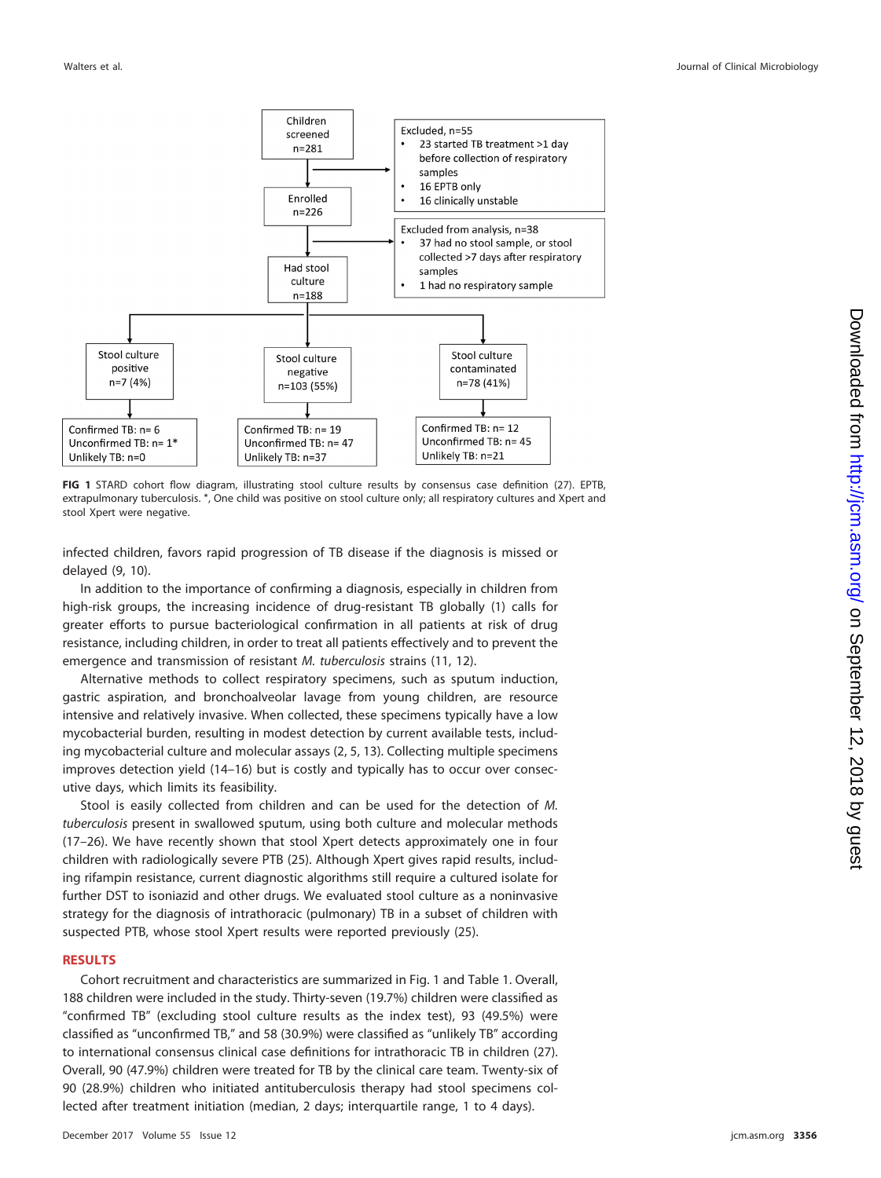

<span id="page-1-0"></span>**FIG 1** STARD cohort flow diagram, illustrating stool culture results by consensus case definition [\(27\)](#page-9-11). EPTB, extrapulmonary tuberculosis. \*, One child was positive on stool culture only; all respiratory cultures and Xpert and stool Xpert were negative.

infected children, favors rapid progression of TB disease if the diagnosis is missed or delayed [\(9,](#page-9-0) [10\)](#page-9-1).

In addition to the importance of confirming a diagnosis, especially in children from high-risk groups, the increasing incidence of drug-resistant TB globally [\(1\)](#page-8-0) calls for greater efforts to pursue bacteriological confirmation in all patients at risk of drug resistance, including children, in order to treat all patients effectively and to prevent the emergence and transmission of resistant M. tuberculosis strains [\(11,](#page-9-2) [12\)](#page-9-3).

Alternative methods to collect respiratory specimens, such as sputum induction, gastric aspiration, and bronchoalveolar lavage from young children, are resource intensive and relatively invasive. When collected, these specimens typically have a low mycobacterial burden, resulting in modest detection by current available tests, including mycobacterial culture and molecular assays [\(2,](#page-8-1) [5,](#page-8-4) [13\)](#page-9-4). Collecting multiple specimens improves detection yield [\(14](#page-9-5)[–](#page-9-6)[16\)](#page-9-7) but is costly and typically has to occur over consecutive days, which limits its feasibility.

Stool is easily collected from children and can be used for the detection of M. tuberculosis present in swallowed sputum, using both culture and molecular methods [\(17](#page-9-8)[–](#page-9-9)[26\)](#page-9-10). We have recently shown that stool Xpert detects approximately one in four children with radiologically severe PTB [\(25\)](#page-9-9). Although Xpert gives rapid results, including rifampin resistance, current diagnostic algorithms still require a cultured isolate for further DST to isoniazid and other drugs. We evaluated stool culture as a noninvasive strategy for the diagnosis of intrathoracic (pulmonary) TB in a subset of children with suspected PTB, whose stool Xpert results were reported previously [\(25\)](#page-9-9).

#### **RESULTS**

Cohort recruitment and characteristics are summarized in [Fig. 1](#page-1-0) and [Table 1.](#page-2-0) Overall, 188 children were included in the study. Thirty-seven (19.7%) children were classified as "confirmed TB" (excluding stool culture results as the index test), 93 (49.5%) were classified as "unconfirmed TB," and 58 (30.9%) were classified as "unlikely TB" according to international consensus clinical case definitions for intrathoracic TB in children [\(27\)](#page-9-11). Overall, 90 (47.9%) children were treated for TB by the clinical care team. Twenty-six of 90 (28.9%) children who initiated antituberculosis therapy had stool specimens collected after treatment initiation (median, 2 days; interquartile range, 1 to 4 days).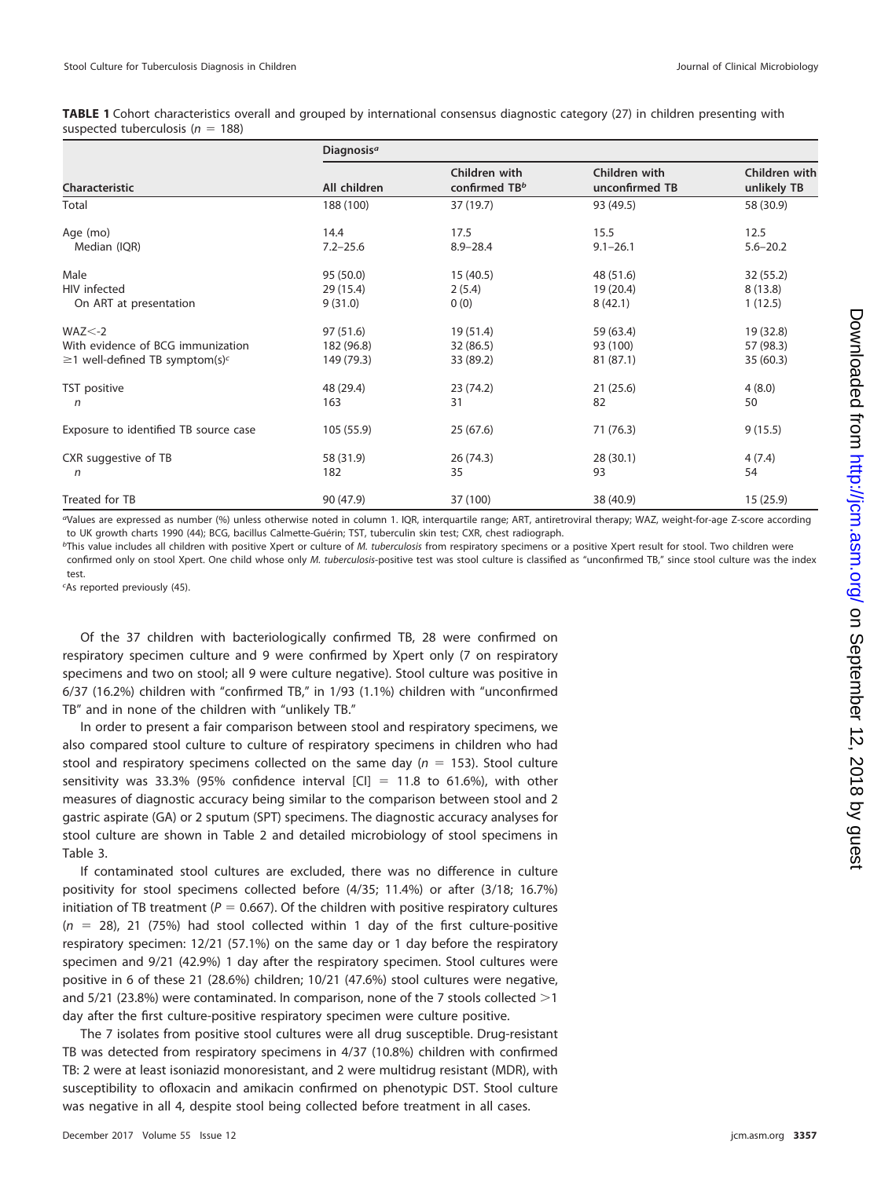<span id="page-2-0"></span>**TABLE 1** Cohort characteristics overall and grouped by international consensus diagnostic category [\(27\)](#page-9-11) in children presenting with suspected tuberculosis ( $n = 188$ )

|                                                  | Diagnosis <sup>a</sup> |                                |                                 |                              |  |  |
|--------------------------------------------------|------------------------|--------------------------------|---------------------------------|------------------------------|--|--|
| Characteristic                                   | All children           | Children with<br>confirmed TBb | Children with<br>unconfirmed TB | Children with<br>unlikely TB |  |  |
| Total                                            | 188 (100)              | 37 (19.7)                      | 93 (49.5)                       | 58 (30.9)                    |  |  |
| Age (mo)                                         | 14.4                   | 17.5                           | 15.5                            | 12.5                         |  |  |
| Median (IQR)                                     | $7.2 - 25.6$           | $8.9 - 28.4$                   | $9.1 - 26.1$                    | $5.6 - 20.2$                 |  |  |
| Male                                             | 95 (50.0)              | 15(40.5)                       | 48 (51.6)                       | 32(55.2)                     |  |  |
| HIV infected                                     | 29(15.4)               | 2(5.4)                         | 19 (20.4)                       | 8(13.8)                      |  |  |
| On ART at presentation                           | 9(31.0)                | 0(0)                           | 8(42.1)                         | 1(12.5)                      |  |  |
| $WAZ < -2$                                       | 97 (51.6)              | 19(51.4)                       | 59 (63.4)                       | 19 (32.8)                    |  |  |
| With evidence of BCG immunization                | 182 (96.8)             | 32 (86.5)                      | 93 (100)                        | 57 (98.3)                    |  |  |
| $\geq$ 1 well-defined TB symptom(s) <sup>c</sup> | 149 (79.3)             | 33 (89.2)                      | 81 (87.1)                       | 35(60.3)                     |  |  |
| TST positive                                     | 48 (29.4)              | 23(74.2)                       | 21(25.6)                        | 4(8.0)                       |  |  |
| $\sqrt{n}$                                       | 163                    | 31                             | 82                              | 50                           |  |  |
| Exposure to identified TB source case            | 105 (55.9)             | 25(67.6)                       | 71 (76.3)                       | 9(15.5)                      |  |  |
| CXR suggestive of TB                             | 58 (31.9)              | 26(74.3)                       | 28 (30.1)                       | 4(7.4)                       |  |  |
| n                                                | 182                    | 35                             | 93                              | 54                           |  |  |
| Treated for TB                                   | 90 (47.9)              | 37 (100)                       | 38 (40.9)                       | 15(25.9)                     |  |  |

aValues are expressed as number (%) unless otherwise noted in column 1. IQR, interquartile range; ART, antiretroviral therapy; WAZ, weight-for-age Z-score according to UK growth charts 1990 [\(44\)](#page-10-0); BCG, bacillus Calmette-Guérin; TST, tuberculin skin test; CXR, chest radiograph.

<sup>b</sup>This value includes all children with positive Xpert or culture of M. tuberculosis from respiratory specimens or a positive Xpert result for stool. Two children were confirmed only on stool Xpert. One child whose only M. tuberculosis-positive test was stool culture is classified as "unconfirmed TB," since stool culture was the index test.

c As reported previously [\(45\)](#page-10-1).

Of the 37 children with bacteriologically confirmed TB, 28 were confirmed on respiratory specimen culture and 9 were confirmed by Xpert only (7 on respiratory specimens and two on stool; all 9 were culture negative). Stool culture was positive in 6/37 (16.2%) children with "confirmed TB," in 1/93 (1.1%) children with "unconfirmed TB" and in none of the children with "unlikely TB."

In order to present a fair comparison between stool and respiratory specimens, we also compared stool culture to culture of respiratory specimens in children who had stool and respiratory specimens collected on the same day ( $n = 153$ ). Stool culture sensitivity was 33.3% (95% confidence interval  $\text{[CI]} = 11.8$  to 61.6%), with other measures of diagnostic accuracy being similar to the comparison between stool and 2 gastric aspirate (GA) or 2 sputum (SPT) specimens. The diagnostic accuracy analyses for stool culture are shown in [Table 2](#page-3-0) and detailed microbiology of stool specimens in [Table 3.](#page-3-1)

If contaminated stool cultures are excluded, there was no difference in culture positivity for stool specimens collected before (4/35; 11.4%) or after (3/18; 16.7%) initiation of TB treatment ( $P = 0.667$ ). Of the children with positive respiratory cultures  $(n = 28)$ , 21 (75%) had stool collected within 1 day of the first culture-positive respiratory specimen: 12/21 (57.1%) on the same day or 1 day before the respiratory specimen and 9/21 (42.9%) 1 day after the respiratory specimen. Stool cultures were positive in 6 of these 21 (28.6%) children; 10/21 (47.6%) stool cultures were negative, and  $5/21$  (23.8%) were contaminated. In comparison, none of the 7 stools collected  $>1$ day after the first culture-positive respiratory specimen were culture positive.

The 7 isolates from positive stool cultures were all drug susceptible. Drug-resistant TB was detected from respiratory specimens in 4/37 (10.8%) children with confirmed TB: 2 were at least isoniazid monoresistant, and 2 were multidrug resistant (MDR), with susceptibility to ofloxacin and amikacin confirmed on phenotypic DST. Stool culture was negative in all 4, despite stool being collected before treatment in all cases.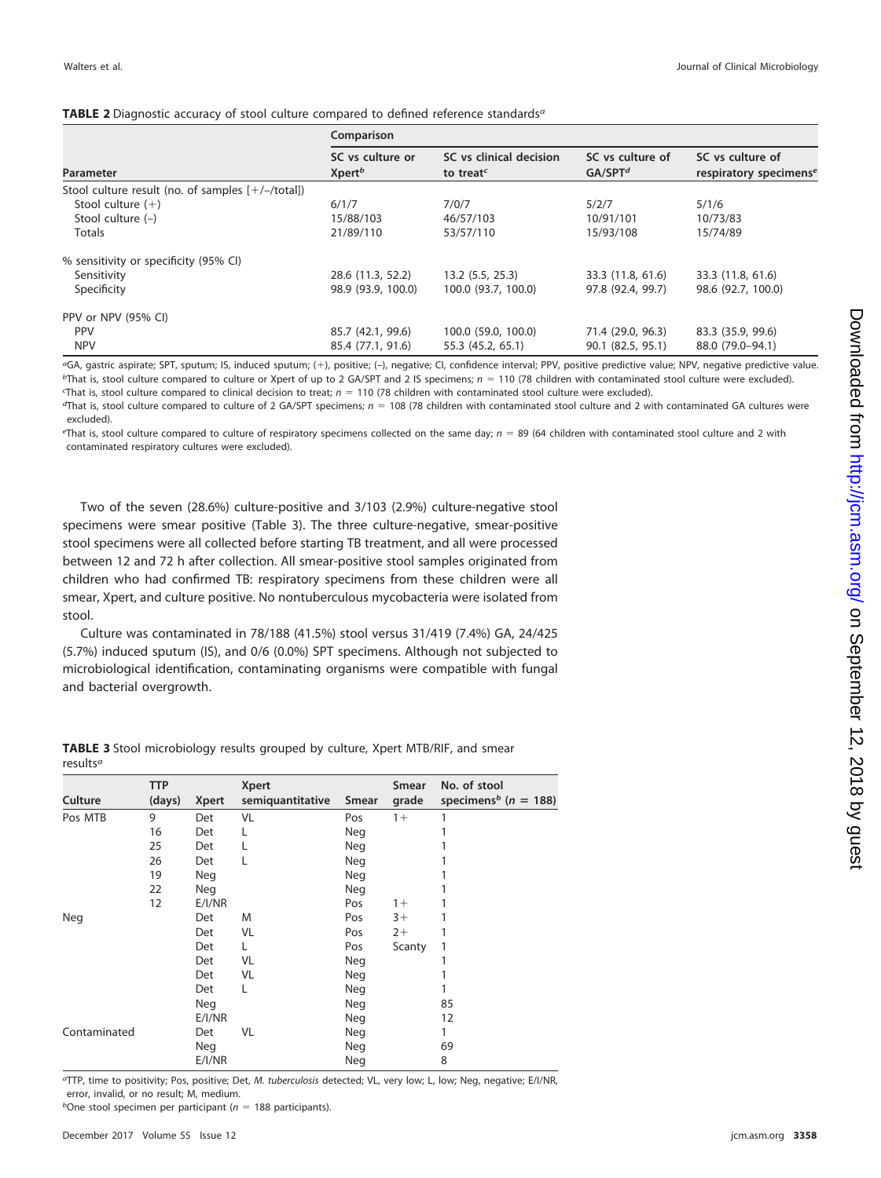<span id="page-3-0"></span>

|                                                      | Comparison                             |                                                  |                                         |                                                        |  |  |
|------------------------------------------------------|----------------------------------------|--------------------------------------------------|-----------------------------------------|--------------------------------------------------------|--|--|
| Parameter                                            | SC vs culture or<br>Xpert <sup>b</sup> | SC vs clinical decision<br>to treat <sup>c</sup> | SC vs culture of<br>GA/SPT <sup>d</sup> | SC vs culture of<br>respiratory specimens <sup>e</sup> |  |  |
| Stool culture result (no. of samples $[+/$ -/total]) |                                        |                                                  |                                         |                                                        |  |  |
| Stool culture $(+)$                                  | 6/1/7                                  | 7/0/7                                            | 5/2/7                                   | 5/1/6                                                  |  |  |
| Stool culture $(-)$                                  | 15/88/103                              | 46/57/103                                        | 10/91/101                               | 10/73/83                                               |  |  |
| <b>Totals</b>                                        | 21/89/110                              | 53/57/110                                        | 15/93/108                               | 15/74/89                                               |  |  |
| % sensitivity or specificity (95% CI)                |                                        |                                                  |                                         |                                                        |  |  |
| Sensitivity                                          | 28.6 (11.3, 52.2)                      | 13.2(5.5, 25.3)                                  | 33.3 (11.8, 61.6)                       | 33.3 (11.8, 61.6)                                      |  |  |
| Specificity                                          | 98.9 (93.9, 100.0)                     | 100.0 (93.7, 100.0)                              | 97.8 (92.4, 99.7)                       | 98.6 (92.7, 100.0)                                     |  |  |
| PPV or NPV (95% CI)                                  |                                        |                                                  |                                         |                                                        |  |  |
| <b>PPV</b>                                           | 85.7 (42.1, 99.6)                      | 100.0 (59.0, 100.0)                              | 71.4 (29.0, 96.3)                       | 83.3 (35.9, 99.6)                                      |  |  |
| <b>NPV</b>                                           | 85.4 (77.1, 91.6)                      | 55.3 (45.2, 65.1)                                | 90.1 (82.5, 95.1)                       | 88.0 (79.0-94.1)                                       |  |  |

<sup>a</sup>GA, gastric aspirate; SPT, sputum; IS, induced sputum; (+), positive; (-), negative; CI, confidence interval; PPV, positive predictive value; NPV, negative predictive value.  $b$ That is, stool culture compared to culture or Xpert of up to 2 GA/SPT and 2 IS specimens;  $n = 110$  (78 children with contaminated stool culture were excluded).

That is, stool culture compared to clinical decision to treat;  $n = 110$  (78 children with contaminated stool culture were excluded).  $\sigma$ That is, stool culture compared to culture of 2 GA/SPT specimens;  $n = 108$  (78 children with contaminated stool culture and 2 with contaminated GA cultures were

excluded).  $e<sup>th</sup>$  That is, stool culture compared to culture of respiratory specimens collected on the same day;  $n = 89$  (64 children with contaminated stool culture and 2 with

contaminated respiratory cultures were excluded).

Two of the seven (28.6%) culture-positive and 3/103 (2.9%) culture-negative stool specimens were smear positive [\(Table 3\)](#page-3-1). The three culture-negative, smear-positive stool specimens were all collected before starting TB treatment, and all were processed between 12 and 72 h after collection. All smear-positive stool samples originated from children who had confirmed TB: respiratory specimens from these children were all smear, Xpert, and culture positive. No nontuberculous mycobacteria were isolated from stool.

Culture was contaminated in 78/188 (41.5%) stool versus 31/419 (7.4%) GA, 24/425 (5.7%) induced sputum (IS), and 0/6 (0.0%) SPT specimens. Although not subjected to microbiological identification, contaminating organisms were compatible with fungal and bacterial overgrowth.

|              | <b>TTP</b> |              | <b>Xpert</b>     |            | Smear  | No. of stool                         |
|--------------|------------|--------------|------------------|------------|--------|--------------------------------------|
| Culture      | (days)     | <b>Xpert</b> | semiquantitative | Smear      | grade  | specimens <sup>b</sup> ( $n = 188$ ) |
| Pos MTB      | 9          | Det          | VL               | Pos        | $1+$   | 1                                    |
|              | 16         | Det          | L                | Neg        |        |                                      |
|              | 25         | Det          |                  | Neg        |        |                                      |
|              | 26         | Det          | L                | Neg        |        |                                      |
|              | 19         | Neg          |                  | Neg        |        |                                      |
|              | 22         | <b>Neg</b>   |                  | Neg        |        |                                      |
|              | 12         | E/I/NR       |                  | Pos        | $1 +$  |                                      |
| Neg          |            | Det          | M                | Pos        | $3+$   |                                      |
|              |            | Det          | VL               | Pos        | $2+$   |                                      |
|              |            | Det          | L                | Pos        | Scanty | 1                                    |
|              |            | Det          | VL               | Neg        |        | 1                                    |
|              |            | Det          | VL               | Neg        |        |                                      |
|              |            | Det          | L                | Neg        |        |                                      |
|              |            | Neg          |                  | Neg        |        | 85                                   |
|              |            | E/I/NR       |                  | <b>Neg</b> |        | 12                                   |
| Contaminated |            | Det          | VL               | Neg        |        | 1                                    |
|              |            | Neg          |                  | Neg        |        | 69                                   |
|              |            | E/I/NR       |                  | Neg        |        | 8                                    |

<span id="page-3-1"></span>**TABLE 3** Stool microbiology results grouped by culture, Xpert MTB/RIF, and smear results<sup>a</sup>

aTTP, time to positivity; Pos, positive; Det, M. tuberculosis detected; VL, very low; L, low; Neg, negative; E/I/NR, error, invalid, or no result; M, medium.

<sup>b</sup>One stool specimen per participant ( $n = 188$  participants).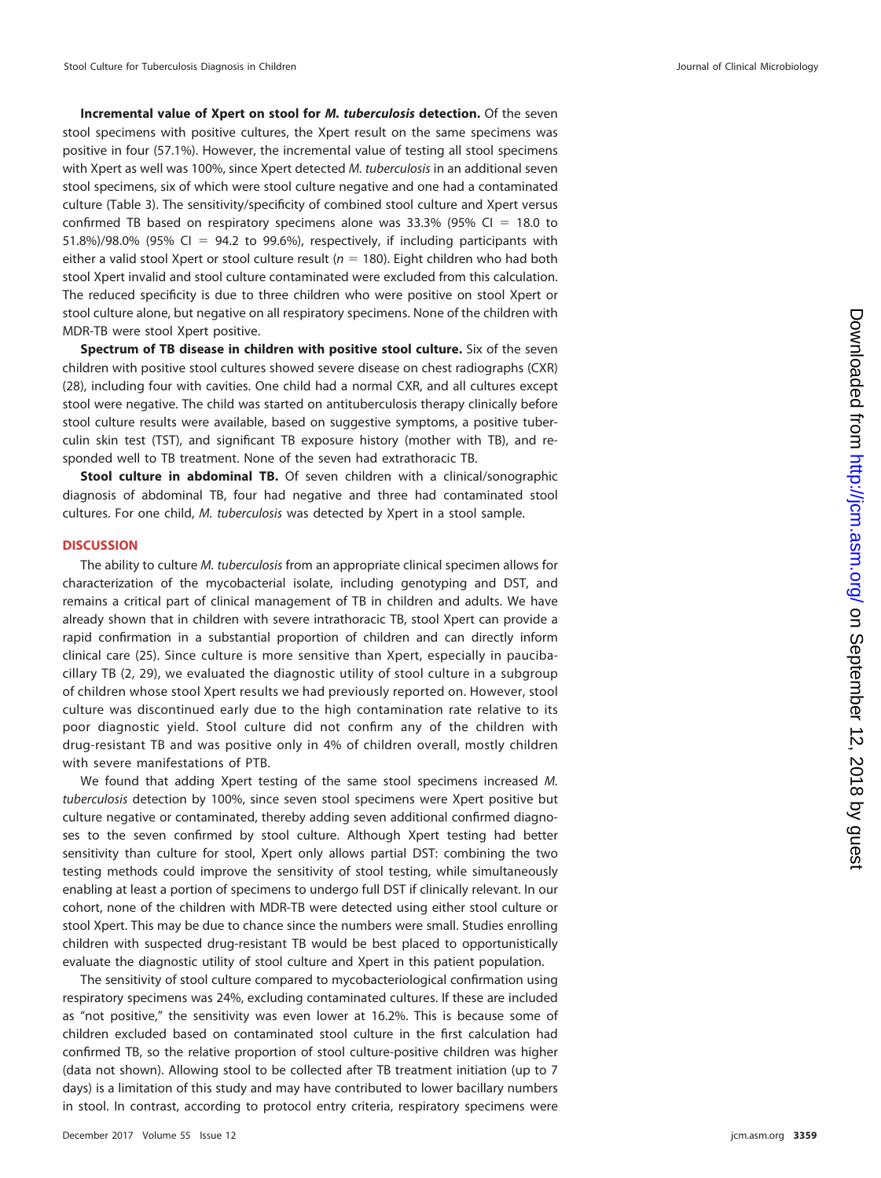**Incremental value of Xpert on stool for** *M. tuberculosis* **detection.** Of the seven stool specimens with positive cultures, the Xpert result on the same specimens was positive in four (57.1%). However, the incremental value of testing all stool specimens with Xpert as well was 100%, since Xpert detected M. tuberculosis in an additional seven stool specimens, six of which were stool culture negative and one had a contaminated culture [\(Table 3\)](#page-3-1). The sensitivity/specificity of combined stool culture and Xpert versus confirmed TB based on respiratory specimens alone was 33.3% (95% CI = 18.0 to 51.8%)/98.0% (95% CI = 94.2 to 99.6%), respectively, if including participants with either a valid stool Xpert or stool culture result  $(n = 180)$ . Eight children who had both stool Xpert invalid and stool culture contaminated were excluded from this calculation. The reduced specificity is due to three children who were positive on stool Xpert or stool culture alone, but negative on all respiratory specimens. None of the children with MDR-TB were stool Xpert positive.

**Spectrum of TB disease in children with positive stool culture.** Six of the seven children with positive stool cultures showed severe disease on chest radiographs (CXR) [\(28\)](#page-9-12), including four with cavities. One child had a normal CXR, and all cultures except stool were negative. The child was started on antituberculosis therapy clinically before stool culture results were available, based on suggestive symptoms, a positive tuberculin skin test (TST), and significant TB exposure history (mother with TB), and responded well to TB treatment. None of the seven had extrathoracic TB.

**Stool culture in abdominal TB.** Of seven children with a clinical/sonographic diagnosis of abdominal TB, four had negative and three had contaminated stool cultures. For one child, M. tuberculosis was detected by Xpert in a stool sample.

### **DISCUSSION**

The ability to culture M. tuberculosis from an appropriate clinical specimen allows for characterization of the mycobacterial isolate, including genotyping and DST, and remains a critical part of clinical management of TB in children and adults. We have already shown that in children with severe intrathoracic TB, stool Xpert can provide a rapid confirmation in a substantial proportion of children and can directly inform clinical care [\(25\)](#page-9-9). Since culture is more sensitive than Xpert, especially in paucibacillary TB [\(2,](#page-8-1) [29\)](#page-9-13), we evaluated the diagnostic utility of stool culture in a subgroup of children whose stool Xpert results we had previously reported on. However, stool culture was discontinued early due to the high contamination rate relative to its poor diagnostic yield. Stool culture did not confirm any of the children with drug-resistant TB and was positive only in 4% of children overall, mostly children with severe manifestations of PTB.

We found that adding Xpert testing of the same stool specimens increased M. tuberculosis detection by 100%, since seven stool specimens were Xpert positive but culture negative or contaminated, thereby adding seven additional confirmed diagnoses to the seven confirmed by stool culture. Although Xpert testing had better sensitivity than culture for stool, Xpert only allows partial DST: combining the two testing methods could improve the sensitivity of stool testing, while simultaneously enabling at least a portion of specimens to undergo full DST if clinically relevant. In our cohort, none of the children with MDR-TB were detected using either stool culture or stool Xpert. This may be due to chance since the numbers were small. Studies enrolling children with suspected drug-resistant TB would be best placed to opportunistically evaluate the diagnostic utility of stool culture and Xpert in this patient population.

The sensitivity of stool culture compared to mycobacteriological confirmation using respiratory specimens was 24%, excluding contaminated cultures. If these are included as "not positive," the sensitivity was even lower at 16.2%. This is because some of children excluded based on contaminated stool culture in the first calculation had confirmed TB, so the relative proportion of stool culture-positive children was higher (data not shown). Allowing stool to be collected after TB treatment initiation (up to 7 days) is a limitation of this study and may have contributed to lower bacillary numbers in stool. In contrast, according to protocol entry criteria, respiratory specimens were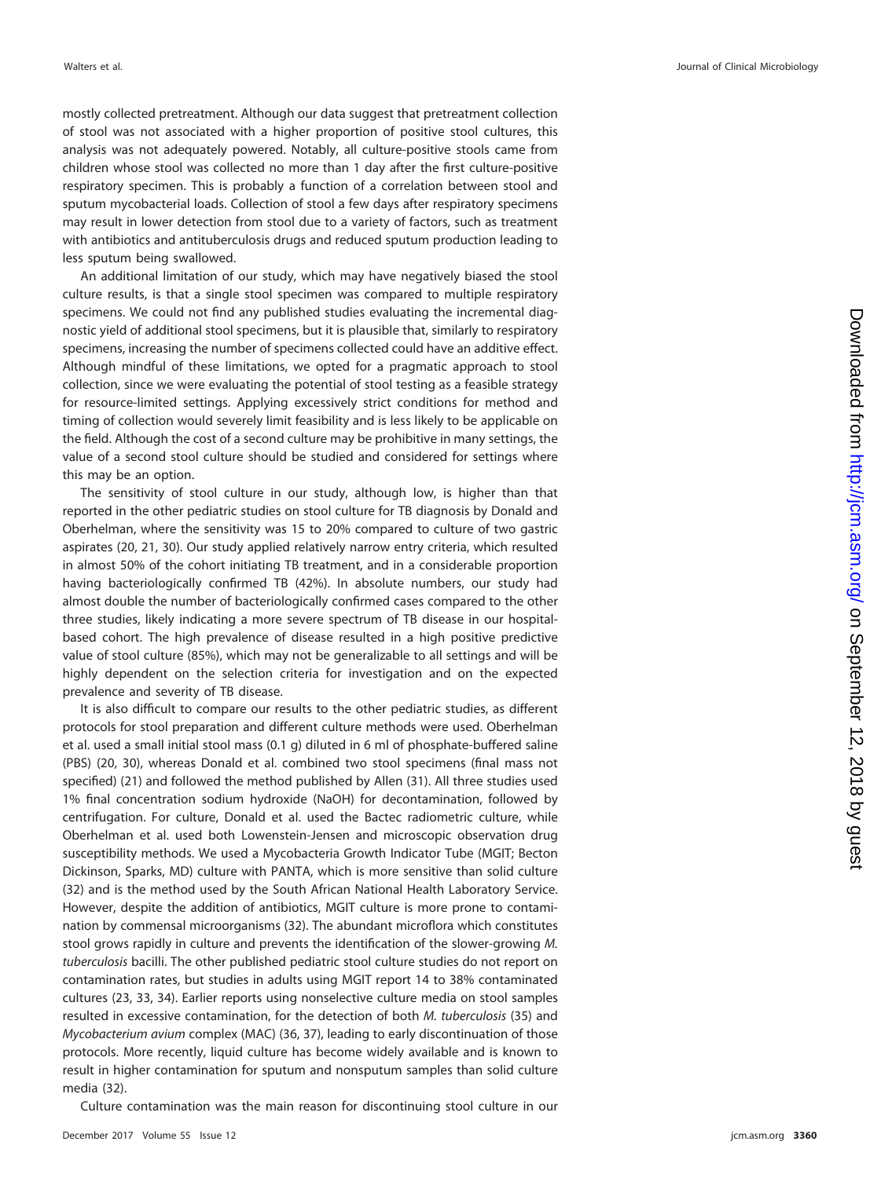mostly collected pretreatment. Although our data suggest that pretreatment collection of stool was not associated with a higher proportion of positive stool cultures, this analysis was not adequately powered. Notably, all culture-positive stools came from children whose stool was collected no more than 1 day after the first culture-positive respiratory specimen. This is probably a function of a correlation between stool and sputum mycobacterial loads. Collection of stool a few days after respiratory specimens may result in lower detection from stool due to a variety of factors, such as treatment with antibiotics and antituberculosis drugs and reduced sputum production leading to less sputum being swallowed.

An additional limitation of our study, which may have negatively biased the stool culture results, is that a single stool specimen was compared to multiple respiratory specimens. We could not find any published studies evaluating the incremental diagnostic yield of additional stool specimens, but it is plausible that, similarly to respiratory specimens, increasing the number of specimens collected could have an additive effect. Although mindful of these limitations, we opted for a pragmatic approach to stool collection, since we were evaluating the potential of stool testing as a feasible strategy for resource-limited settings. Applying excessively strict conditions for method and timing of collection would severely limit feasibility and is less likely to be applicable on the field. Although the cost of a second culture may be prohibitive in many settings, the value of a second stool culture should be studied and considered for settings where this may be an option.

The sensitivity of stool culture in our study, although low, is higher than that reported in the other pediatric studies on stool culture for TB diagnosis by Donald and Oberhelman, where the sensitivity was 15 to 20% compared to culture of two gastric aspirates [\(20,](#page-9-14) [21,](#page-9-15) [30\)](#page-9-16). Our study applied relatively narrow entry criteria, which resulted in almost 50% of the cohort initiating TB treatment, and in a considerable proportion having bacteriologically confirmed TB (42%). In absolute numbers, our study had almost double the number of bacteriologically confirmed cases compared to the other three studies, likely indicating a more severe spectrum of TB disease in our hospitalbased cohort. The high prevalence of disease resulted in a high positive predictive value of stool culture (85%), which may not be generalizable to all settings and will be highly dependent on the selection criteria for investigation and on the expected prevalence and severity of TB disease.

It is also difficult to compare our results to the other pediatric studies, as different protocols for stool preparation and different culture methods were used. Oberhelman et al. used a small initial stool mass (0.1 g) diluted in 6 ml of phosphate-buffered saline (PBS) [\(20,](#page-9-14) [30\)](#page-9-16), whereas Donald et al. combined two stool specimens (final mass not specified) [\(21\)](#page-9-15) and followed the method published by Allen [\(31\)](#page-9-17). All three studies used 1% final concentration sodium hydroxide (NaOH) for decontamination, followed by centrifugation. For culture, Donald et al. used the Bactec radiometric culture, while Oberhelman et al. used both Lowenstein-Jensen and microscopic observation drug susceptibility methods. We used a Mycobacteria Growth Indicator Tube (MGIT; Becton Dickinson, Sparks, MD) culture with PANTA, which is more sensitive than solid culture [\(32\)](#page-9-18) and is the method used by the South African National Health Laboratory Service. However, despite the addition of antibiotics, MGIT culture is more prone to contamination by commensal microorganisms [\(32\)](#page-9-18). The abundant microflora which constitutes stool grows rapidly in culture and prevents the identification of the slower-growing M. tuberculosis bacilli. The other published pediatric stool culture studies do not report on contamination rates, but studies in adults using MGIT report 14 to 38% contaminated cultures [\(23,](#page-9-19) [33,](#page-9-20) [34\)](#page-9-21). Earlier reports using nonselective culture media on stool samples resulted in excessive contamination, for the detection of both M. tuberculosis [\(35\)](#page-9-22) and Mycobacterium avium complex (MAC) [\(36,](#page-9-23) [37\)](#page-9-24), leading to early discontinuation of those protocols. More recently, liquid culture has become widely available and is known to result in higher contamination for sputum and nonsputum samples than solid culture media [\(32\)](#page-9-18).

Culture contamination was the main reason for discontinuing stool culture in our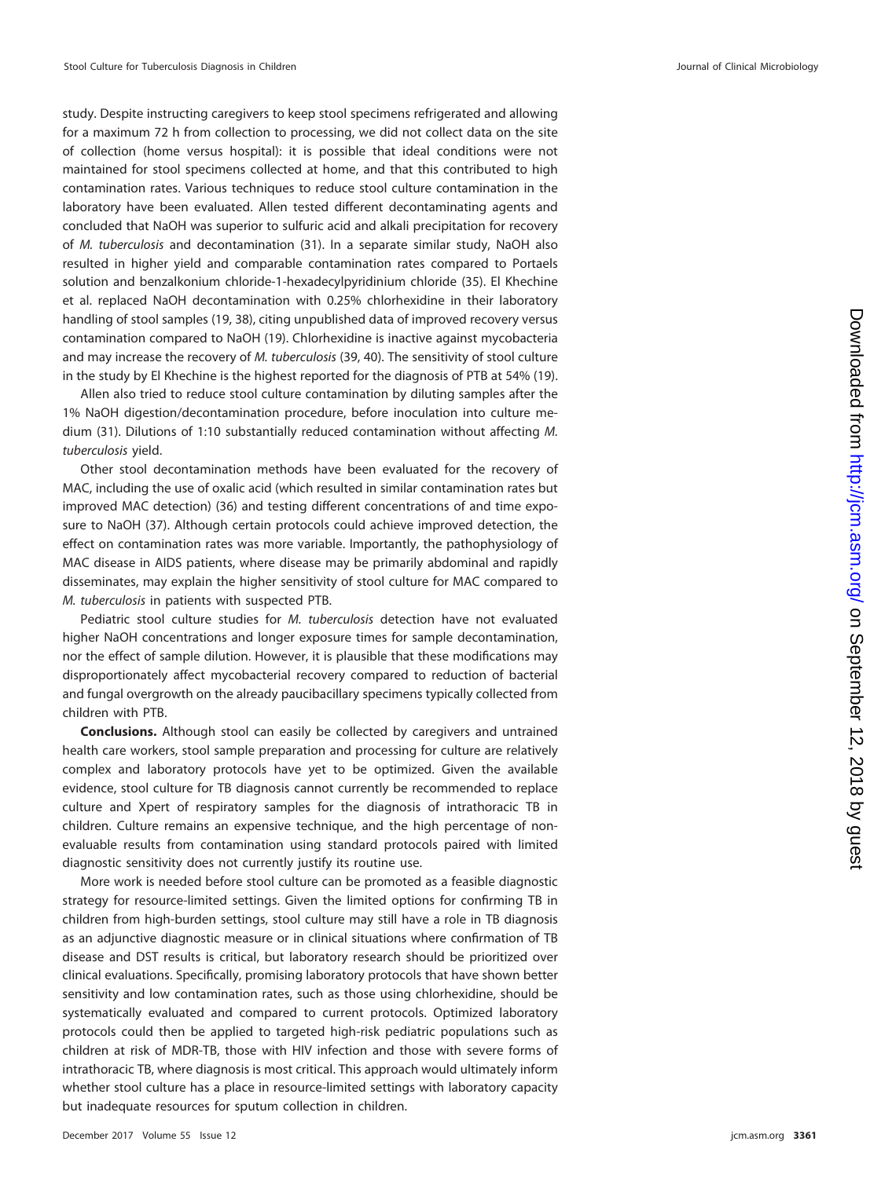study. Despite instructing caregivers to keep stool specimens refrigerated and allowing for a maximum 72 h from collection to processing, we did not collect data on the site of collection (home versus hospital): it is possible that ideal conditions were not maintained for stool specimens collected at home, and that this contributed to high contamination rates. Various techniques to reduce stool culture contamination in the laboratory have been evaluated. Allen tested different decontaminating agents and concluded that NaOH was superior to sulfuric acid and alkali precipitation for recovery of M. tuberculosis and decontamination [\(31\)](#page-9-17). In a separate similar study, NaOH also resulted in higher yield and comparable contamination rates compared to Portaels solution and benzalkonium chloride-1-hexadecylpyridinium chloride [\(35\)](#page-9-22). El Khechine et al. replaced NaOH decontamination with 0.25% chlorhexidine in their laboratory handling of stool samples [\(19,](#page-9-25) [38\)](#page-9-26), citing unpublished data of improved recovery versus contamination compared to NaOH [\(19\)](#page-9-25). Chlorhexidine is inactive against mycobacteria and may increase the recovery of M. tuberculosis [\(39,](#page-9-27) [40\)](#page-9-28). The sensitivity of stool culture in the study by El Khechine is the highest reported for the diagnosis of PTB at 54% [\(19\)](#page-9-25).

Allen also tried to reduce stool culture contamination by diluting samples after the 1% NaOH digestion/decontamination procedure, before inoculation into culture medium [\(31\)](#page-9-17). Dilutions of 1:10 substantially reduced contamination without affecting M. tuberculosis yield.

Other stool decontamination methods have been evaluated for the recovery of MAC, including the use of oxalic acid (which resulted in similar contamination rates but improved MAC detection) [\(36\)](#page-9-23) and testing different concentrations of and time exposure to NaOH [\(37\)](#page-9-24). Although certain protocols could achieve improved detection, the effect on contamination rates was more variable. Importantly, the pathophysiology of MAC disease in AIDS patients, where disease may be primarily abdominal and rapidly disseminates, may explain the higher sensitivity of stool culture for MAC compared to M. tuberculosis in patients with suspected PTB.

Pediatric stool culture studies for M. tuberculosis detection have not evaluated higher NaOH concentrations and longer exposure times for sample decontamination, nor the effect of sample dilution. However, it is plausible that these modifications may disproportionately affect mycobacterial recovery compared to reduction of bacterial and fungal overgrowth on the already paucibacillary specimens typically collected from children with PTB.

**Conclusions.** Although stool can easily be collected by caregivers and untrained health care workers, stool sample preparation and processing for culture are relatively complex and laboratory protocols have yet to be optimized. Given the available evidence, stool culture for TB diagnosis cannot currently be recommended to replace culture and Xpert of respiratory samples for the diagnosis of intrathoracic TB in children. Culture remains an expensive technique, and the high percentage of nonevaluable results from contamination using standard protocols paired with limited diagnostic sensitivity does not currently justify its routine use.

More work is needed before stool culture can be promoted as a feasible diagnostic strategy for resource-limited settings. Given the limited options for confirming TB in children from high-burden settings, stool culture may still have a role in TB diagnosis as an adjunctive diagnostic measure or in clinical situations where confirmation of TB disease and DST results is critical, but laboratory research should be prioritized over clinical evaluations. Specifically, promising laboratory protocols that have shown better sensitivity and low contamination rates, such as those using chlorhexidine, should be systematically evaluated and compared to current protocols. Optimized laboratory protocols could then be applied to targeted high-risk pediatric populations such as children at risk of MDR-TB, those with HIV infection and those with severe forms of intrathoracic TB, where diagnosis is most critical. This approach would ultimately inform whether stool culture has a place in resource-limited settings with laboratory capacity but inadequate resources for sputum collection in children.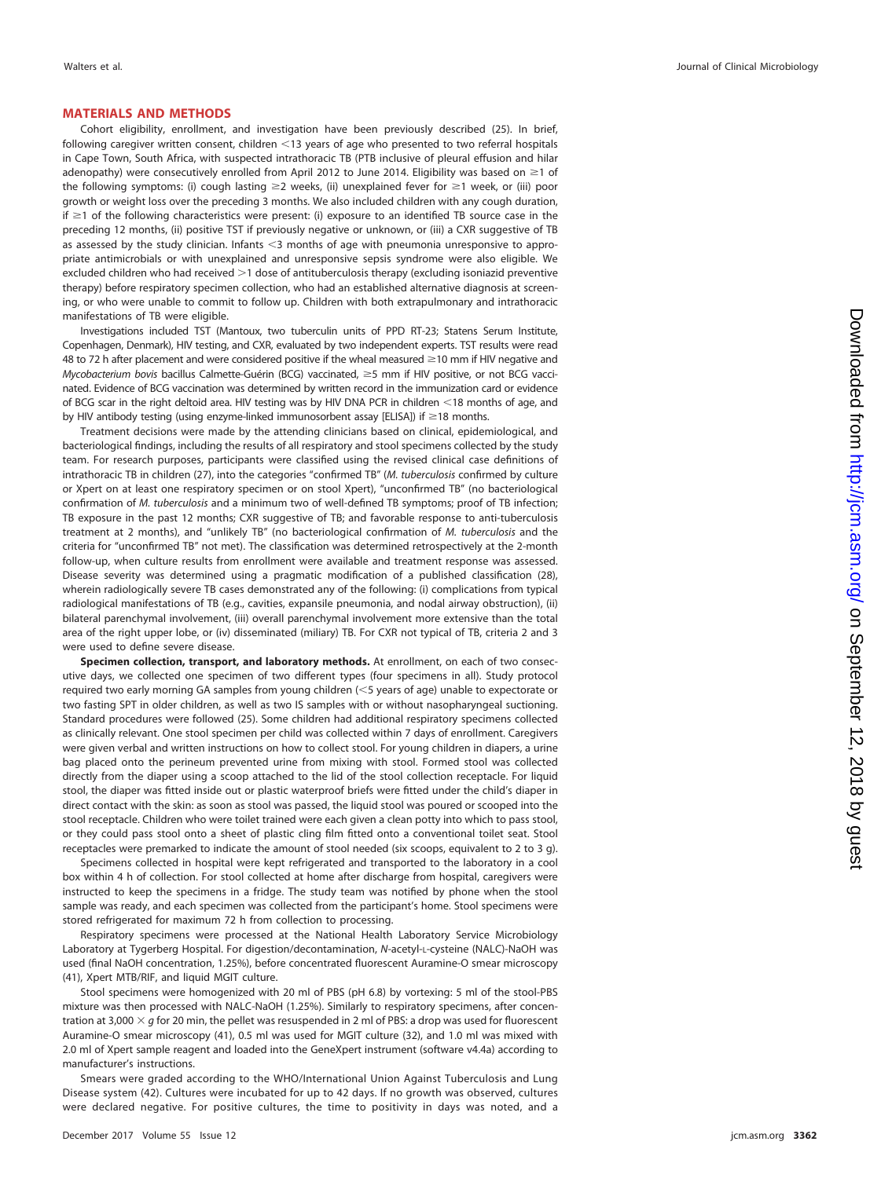#### **MATERIALS AND METHODS**

Cohort eligibility, enrollment, and investigation have been previously described [\(25\)](#page-9-9). In brief, following caregiver written consent, children  $<$  13 years of age who presented to two referral hospitals in Cape Town, South Africa, with suspected intrathoracic TB (PTB inclusive of pleural effusion and hilar adenopathy) were consecutively enrolled from April 2012 to June 2014. Eligibility was based on  $\geq 1$  of the following symptoms: (i) cough lasting  $\geq$  weeks, (ii) unexplained fever for  $\geq$  1 week, or (iii) poor growth or weight loss over the preceding 3 months. We also included children with any cough duration, if  $\geq$ 1 of the following characteristics were present: (i) exposure to an identified TB source case in the preceding 12 months, (ii) positive TST if previously negative or unknown, or (iii) a CXR suggestive of TB as assessed by the study clinician. Infants <3 months of age with pneumonia unresponsive to appropriate antimicrobials or with unexplained and unresponsive sepsis syndrome were also eligible. We excluded children who had received  $>1$  dose of antituberculosis therapy (excluding isoniazid preventive therapy) before respiratory specimen collection, who had an established alternative diagnosis at screening, or who were unable to commit to follow up. Children with both extrapulmonary and intrathoracic manifestations of TB were eligible.

Investigations included TST (Mantoux, two tuberculin units of PPD RT-23; Statens Serum Institute, Copenhagen, Denmark), HIV testing, and CXR, evaluated by two independent experts. TST results were read 48 to 72 h after placement and were considered positive if the wheal measured  $\geq$ 10 mm if HIV negative and Mycobacterium bovis bacillus Calmette-Guérin (BCG) vaccinated, ≥5 mm if HIV positive, or not BCG vaccinated. Evidence of BCG vaccination was determined by written record in the immunization card or evidence of BCG scar in the right deltoid area. HIV testing was by HIV DNA PCR in children 18 months of age, and by HIV antibody testing (using enzyme-linked immunosorbent assay [ELISA]) if  $\geq$ 18 months.

Treatment decisions were made by the attending clinicians based on clinical, epidemiological, and bacteriological findings, including the results of all respiratory and stool specimens collected by the study team. For research purposes, participants were classified using the revised clinical case definitions of intrathoracic TB in children [\(27\)](#page-9-11), into the categories "confirmed TB" (M. tuberculosis confirmed by culture or Xpert on at least one respiratory specimen or on stool Xpert), "unconfirmed TB" (no bacteriological confirmation of M. tuberculosis and a minimum two of well-defined TB symptoms; proof of TB infection; TB exposure in the past 12 months; CXR suggestive of TB; and favorable response to anti-tuberculosis treatment at 2 months), and "unlikely TB" (no bacteriological confirmation of M. tuberculosis and the criteria for "unconfirmed TB" not met). The classification was determined retrospectively at the 2-month follow-up, when culture results from enrollment were available and treatment response was assessed. Disease severity was determined using a pragmatic modification of a published classification [\(28\)](#page-9-12), wherein radiologically severe TB cases demonstrated any of the following: (i) complications from typical radiological manifestations of TB (e.g., cavities, expansile pneumonia, and nodal airway obstruction), (ii) bilateral parenchymal involvement, (iii) overall parenchymal involvement more extensive than the total area of the right upper lobe, or (iv) disseminated (miliary) TB. For CXR not typical of TB, criteria 2 and 3 were used to define severe disease.

**Specimen collection, transport, and laboratory methods.** At enrollment, on each of two consecutive days, we collected one specimen of two different types (four specimens in all). Study protocol required two early morning GA samples from young children (<5 years of age) unable to expectorate or two fasting SPT in older children, as well as two IS samples with or without nasopharyngeal suctioning. Standard procedures were followed [\(25\)](#page-9-9). Some children had additional respiratory specimens collected as clinically relevant. One stool specimen per child was collected within 7 days of enrollment. Caregivers were given verbal and written instructions on how to collect stool. For young children in diapers, a urine bag placed onto the perineum prevented urine from mixing with stool. Formed stool was collected directly from the diaper using a scoop attached to the lid of the stool collection receptacle. For liquid stool, the diaper was fitted inside out or plastic waterproof briefs were fitted under the child's diaper in direct contact with the skin: as soon as stool was passed, the liquid stool was poured or scooped into the stool receptacle. Children who were toilet trained were each given a clean potty into which to pass stool, or they could pass stool onto a sheet of plastic cling film fitted onto a conventional toilet seat. Stool receptacles were premarked to indicate the amount of stool needed (six scoops, equivalent to 2 to 3 g).

Specimens collected in hospital were kept refrigerated and transported to the laboratory in a cool box within 4 h of collection. For stool collected at home after discharge from hospital, caregivers were instructed to keep the specimens in a fridge. The study team was notified by phone when the stool sample was ready, and each specimen was collected from the participant's home. Stool specimens were stored refrigerated for maximum 72 h from collection to processing.

Respiratory specimens were processed at the National Health Laboratory Service Microbiology Laboratory at Tygerberg Hospital. For digestion/decontamination, N-acetyl-L-cysteine (NALC)-NaOH was used (final NaOH concentration, 1.25%), before concentrated fluorescent Auramine-O smear microscopy [\(41\)](#page-9-29), Xpert MTB/RIF, and liquid MGIT culture.

Stool specimens were homogenized with 20 ml of PBS (pH 6.8) by vortexing: 5 ml of the stool-PBS mixture was then processed with NALC-NaOH (1.25%). Similarly to respiratory specimens, after concentration at 3,000  $\times$  g for 20 min, the pellet was resuspended in 2 ml of PBS: a drop was used for fluorescent Auramine-O smear microscopy [\(41\)](#page-9-29), 0.5 ml was used for MGIT culture [\(32\)](#page-9-18), and 1.0 ml was mixed with 2.0 ml of Xpert sample reagent and loaded into the GeneXpert instrument (software v4.4a) according to manufacturer's instructions.

Smears were graded according to the WHO/International Union Against Tuberculosis and Lung Disease system [\(42\)](#page-9-30). Cultures were incubated for up to 42 days. If no growth was observed, cultures were declared negative. For positive cultures, the time to positivity in days was noted, and a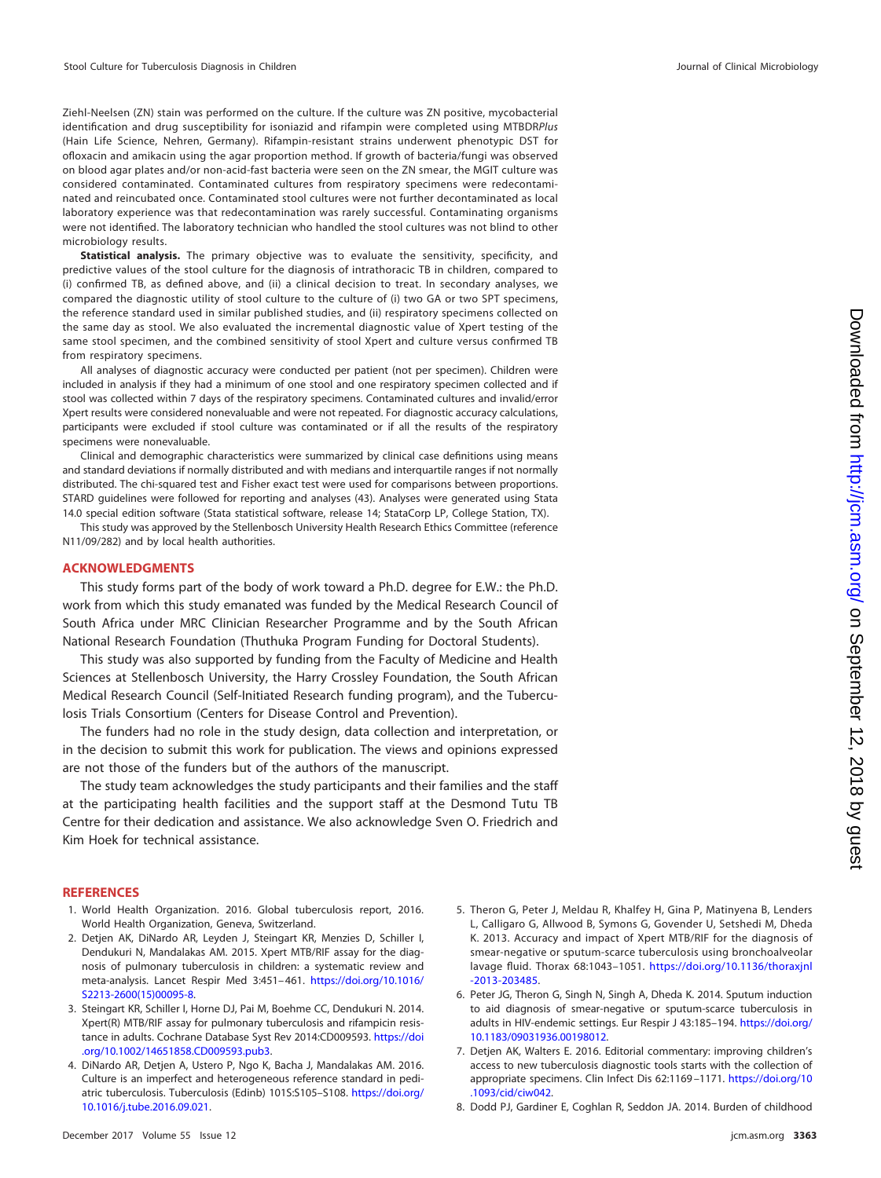Ziehl-Neelsen (ZN) stain was performed on the culture. If the culture was ZN positive, mycobacterial identification and drug susceptibility for isoniazid and rifampin were completed using MTBDRPlus (Hain Life Science, Nehren, Germany). Rifampin-resistant strains underwent phenotypic DST for ofloxacin and amikacin using the agar proportion method. If growth of bacteria/fungi was observed on blood agar plates and/or non-acid-fast bacteria were seen on the ZN smear, the MGIT culture was considered contaminated. Contaminated cultures from respiratory specimens were redecontaminated and reincubated once. Contaminated stool cultures were not further decontaminated as local laboratory experience was that redecontamination was rarely successful. Contaminating organisms were not identified. The laboratory technician who handled the stool cultures was not blind to other microbiology results.

**Statistical analysis.** The primary objective was to evaluate the sensitivity, specificity, and predictive values of the stool culture for the diagnosis of intrathoracic TB in children, compared to (i) confirmed TB, as defined above, and (ii) a clinical decision to treat. In secondary analyses, we compared the diagnostic utility of stool culture to the culture of (i) two GA or two SPT specimens, the reference standard used in similar published studies, and (ii) respiratory specimens collected on the same day as stool. We also evaluated the incremental diagnostic value of Xpert testing of the same stool specimen, and the combined sensitivity of stool Xpert and culture versus confirmed TB from respiratory specimens.

All analyses of diagnostic accuracy were conducted per patient (not per specimen). Children were included in analysis if they had a minimum of one stool and one respiratory specimen collected and if stool was collected within 7 days of the respiratory specimens. Contaminated cultures and invalid/error Xpert results were considered nonevaluable and were not repeated. For diagnostic accuracy calculations, participants were excluded if stool culture was contaminated or if all the results of the respiratory specimens were nonevaluable.

Clinical and demographic characteristics were summarized by clinical case definitions using means and standard deviations if normally distributed and with medians and interquartile ranges if not normally distributed. The chi-squared test and Fisher exact test were used for comparisons between proportions. STARD guidelines were followed for reporting and analyses [\(43\)](#page-9-31). Analyses were generated using Stata 14.0 special edition software (Stata statistical software, release 14; StataCorp LP, College Station, TX).

This study was approved by the Stellenbosch University Health Research Ethics Committee (reference N11/09/282) and by local health authorities.

#### **ACKNOWLEDGMENTS**

This study forms part of the body of work toward a Ph.D. degree for E.W.: the Ph.D. work from which this study emanated was funded by the Medical Research Council of South Africa under MRC Clinician Researcher Programme and by the South African National Research Foundation (Thuthuka Program Funding for Doctoral Students).

This study was also supported by funding from the Faculty of Medicine and Health Sciences at Stellenbosch University, the Harry Crossley Foundation, the South African Medical Research Council (Self-Initiated Research funding program), and the Tuberculosis Trials Consortium (Centers for Disease Control and Prevention).

The funders had no role in the study design, data collection and interpretation, or in the decision to submit this work for publication. The views and opinions expressed are not those of the funders but of the authors of the manuscript.

The study team acknowledges the study participants and their families and the staff at the participating health facilities and the support staff at the Desmond Tutu TB Centre for their dedication and assistance. We also acknowledge Sven O. Friedrich and Kim Hoek for technical assistance.

#### <span id="page-8-0"></span>**REFERENCES**

- <span id="page-8-1"></span>1. World Health Organization. 2016. Global tuberculosis report, 2016. World Health Organization, Geneva, Switzerland.
- 2. Detjen AK, DiNardo AR, Leyden J, Steingart KR, Menzies D, Schiller I, Dendukuri N, Mandalakas AM. 2015. Xpert MTB/RIF assay for the diagnosis of pulmonary tuberculosis in children: a systematic review and meta-analysis. Lancet Respir Med 3:451– 461. [https://doi.org/10.1016/](https://doi.org/10.1016/S2213-2600(15)00095-8) [S2213-2600\(15\)00095-8.](https://doi.org/10.1016/S2213-2600(15)00095-8)
- <span id="page-8-2"></span>3. Steingart KR, Schiller I, Horne DJ, Pai M, Boehme CC, Dendukuri N. 2014. Xpert(R) MTB/RIF assay for pulmonary tuberculosis and rifampicin resistance in adults. Cochrane Database Syst Rev 2014:CD009593. [https://doi](https://doi.org/10.1002/14651858.CD009593.pub3) [.org/10.1002/14651858.CD009593.pub3.](https://doi.org/10.1002/14651858.CD009593.pub3)
- <span id="page-8-3"></span>4. DiNardo AR, Detjen A, Ustero P, Ngo K, Bacha J, Mandalakas AM. 2016. Culture is an imperfect and heterogeneous reference standard in pediatric tuberculosis. Tuberculosis (Edinb) 101S:S105-S108. [https://doi.org/](https://doi.org/10.1016/j.tube.2016.09.021) [10.1016/j.tube.2016.09.021.](https://doi.org/10.1016/j.tube.2016.09.021)
- <span id="page-8-4"></span>5. Theron G, Peter J, Meldau R, Khalfey H, Gina P, Matinyena B, Lenders L, Calligaro G, Allwood B, Symons G, Govender U, Setshedi M, Dheda K. 2013. Accuracy and impact of Xpert MTB/RIF for the diagnosis of smear-negative or sputum-scarce tuberculosis using bronchoalveolar lavage fluid. Thorax 68:1043–1051. [https://doi.org/10.1136/thoraxjnl](https://doi.org/10.1136/thoraxjnl-2013-203485) [-2013-203485.](https://doi.org/10.1136/thoraxjnl-2013-203485)
- <span id="page-8-5"></span>6. Peter JG, Theron G, Singh N, Singh A, Dheda K. 2014. Sputum induction to aid diagnosis of smear-negative or sputum-scarce tuberculosis in adults in HIV-endemic settings. Eur Respir J 43:185-194. [https://doi.org/](https://doi.org/10.1183/09031936.00198012) [10.1183/09031936.00198012.](https://doi.org/10.1183/09031936.00198012)
- <span id="page-8-6"></span>7. Detjen AK, Walters E. 2016. Editorial commentary: improving children's access to new tuberculosis diagnostic tools starts with the collection of appropriate specimens. Clin Infect Dis 62:1169 –1171. [https://doi.org/10](https://doi.org/10.1093/cid/ciw042) [.1093/cid/ciw042.](https://doi.org/10.1093/cid/ciw042)
- <span id="page-8-7"></span>8. Dodd PJ, Gardiner E, Coghlan R, Seddon JA. 2014. Burden of childhood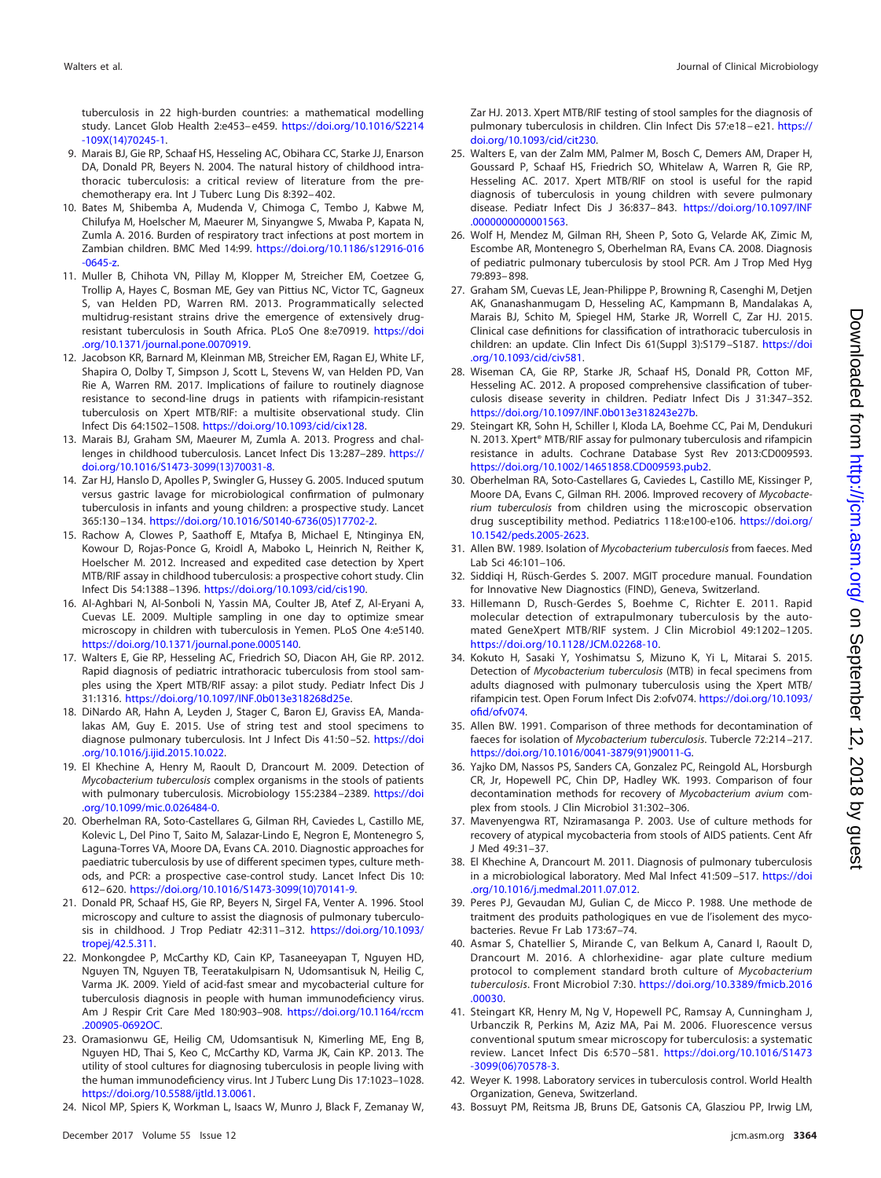tuberculosis in 22 high-burden countries: a mathematical modelling study. Lancet Glob Health 2:e453– e459. [https://doi.org/10.1016/S2214](https://doi.org/10.1016/S2214-109X(14)70245-1) [-109X\(14\)70245-1.](https://doi.org/10.1016/S2214-109X(14)70245-1)

- <span id="page-9-0"></span>9. Marais BJ, Gie RP, Schaaf HS, Hesseling AC, Obihara CC, Starke JJ, Enarson DA, Donald PR, Beyers N. 2004. The natural history of childhood intrathoracic tuberculosis: a critical review of literature from the prechemotherapy era. Int J Tuberc Lung Dis 8:392– 402.
- <span id="page-9-1"></span>10. Bates M, Shibemba A, Mudenda V, Chimoga C, Tembo J, Kabwe M, Chilufya M, Hoelscher M, Maeurer M, Sinyangwe S, Mwaba P, Kapata N, Zumla A. 2016. Burden of respiratory tract infections at post mortem in Zambian children. BMC Med 14:99. [https://doi.org/10.1186/s12916-016](https://doi.org/10.1186/s12916-016-0645-z)  $-0645-z$
- <span id="page-9-2"></span>11. Muller B, Chihota VN, Pillay M, Klopper M, Streicher EM, Coetzee G, Trollip A, Hayes C, Bosman ME, Gey van Pittius NC, Victor TC, Gagneux S, van Helden PD, Warren RM. 2013. Programmatically selected multidrug-resistant strains drive the emergence of extensively drugresistant tuberculosis in South Africa. PLoS One 8:e70919. [https://doi](https://doi.org/10.1371/journal.pone.0070919) [.org/10.1371/journal.pone.0070919.](https://doi.org/10.1371/journal.pone.0070919)
- <span id="page-9-3"></span>12. Jacobson KR, Barnard M, Kleinman MB, Streicher EM, Ragan EJ, White LF, Shapira O, Dolby T, Simpson J, Scott L, Stevens W, van Helden PD, Van Rie A, Warren RM. 2017. Implications of failure to routinely diagnose resistance to second-line drugs in patients with rifampicin-resistant tuberculosis on Xpert MTB/RIF: a multisite observational study. Clin Infect Dis 64:1502–1508. [https://doi.org/10.1093/cid/cix128.](https://doi.org/10.1093/cid/cix128)
- <span id="page-9-4"></span>13. Marais BJ, Graham SM, Maeurer M, Zumla A. 2013. Progress and challenges in childhood tuberculosis. Lancet Infect Dis 13:287–289. [https://](https://doi.org/10.1016/S1473-3099(13)70031-8) [doi.org/10.1016/S1473-3099\(13\)70031-8.](https://doi.org/10.1016/S1473-3099(13)70031-8)
- <span id="page-9-5"></span>14. Zar HJ, Hanslo D, Apolles P, Swingler G, Hussey G. 2005. Induced sputum versus gastric lavage for microbiological confirmation of pulmonary tuberculosis in infants and young children: a prospective study. Lancet 365:130 –134. [https://doi.org/10.1016/S0140-6736\(05\)17702-2.](https://doi.org/10.1016/S0140-6736(05)17702-2)
- <span id="page-9-6"></span>15. Rachow A, Clowes P, Saathoff E, Mtafya B, Michael E, Ntinginya EN, Kowour D, Rojas-Ponce G, Kroidl A, Maboko L, Heinrich N, Reither K, Hoelscher M. 2012. Increased and expedited case detection by Xpert MTB/RIF assay in childhood tuberculosis: a prospective cohort study. Clin Infect Dis 54:1388 –1396. [https://doi.org/10.1093/cid/cis190.](https://doi.org/10.1093/cid/cis190)
- <span id="page-9-7"></span>16. Al-Aghbari N, Al-Sonboli N, Yassin MA, Coulter JB, Atef Z, Al-Eryani A, Cuevas LE. 2009. Multiple sampling in one day to optimize smear microscopy in children with tuberculosis in Yemen. PLoS One 4:e5140. [https://doi.org/10.1371/journal.pone.0005140.](https://doi.org/10.1371/journal.pone.0005140)
- <span id="page-9-8"></span>17. Walters E, Gie RP, Hesseling AC, Friedrich SO, Diacon AH, Gie RP. 2012. Rapid diagnosis of pediatric intrathoracic tuberculosis from stool samples using the Xpert MTB/RIF assay: a pilot study. Pediatr Infect Dis J 31:1316. [https://doi.org/10.1097/INF.0b013e318268d25e.](https://doi.org/10.1097/INF.0b013e318268d25e)
- 18. DiNardo AR, Hahn A, Leyden J, Stager C, Baron EJ, Graviss EA, Mandalakas AM, Guy E. 2015. Use of string test and stool specimens to diagnose pulmonary tuberculosis. Int J Infect Dis 41:50 –52. [https://doi](https://doi.org/10.1016/j.ijid.2015.10.022) [.org/10.1016/j.ijid.2015.10.022.](https://doi.org/10.1016/j.ijid.2015.10.022)
- <span id="page-9-25"></span>19. El Khechine A, Henry M, Raoult D, Drancourt M. 2009. Detection of Mycobacterium tuberculosis complex organisms in the stools of patients with pulmonary tuberculosis. Microbiology 155:2384 –2389. [https://doi](https://doi.org/10.1099/mic.0.026484-0) [.org/10.1099/mic.0.026484-0.](https://doi.org/10.1099/mic.0.026484-0)
- <span id="page-9-14"></span>20. Oberhelman RA, Soto-Castellares G, Gilman RH, Caviedes L, Castillo ME, Kolevic L, Del Pino T, Saito M, Salazar-Lindo E, Negron E, Montenegro S, Laguna-Torres VA, Moore DA, Evans CA. 2010. Diagnostic approaches for paediatric tuberculosis by use of different specimen types, culture methods, and PCR: a prospective case-control study. Lancet Infect Dis 10: 612– 620. [https://doi.org/10.1016/S1473-3099\(10\)70141-9.](https://doi.org/10.1016/S1473-3099(10)70141-9)
- <span id="page-9-15"></span>21. Donald PR, Schaaf HS, Gie RP, Beyers N, Sirgel FA, Venter A. 1996. Stool microscopy and culture to assist the diagnosis of pulmonary tuberculosis in childhood. J Trop Pediatr 42:311-312. [https://doi.org/10.1093/](https://doi.org/10.1093/tropej/42.5.311) [tropej/42.5.311.](https://doi.org/10.1093/tropej/42.5.311)
- 22. Monkongdee P, McCarthy KD, Cain KP, Tasaneeyapan T, Nguyen HD, Nguyen TN, Nguyen TB, Teeratakulpisarn N, Udomsantisuk N, Heilig C, Varma JK. 2009. Yield of acid-fast smear and mycobacterial culture for tuberculosis diagnosis in people with human immunodeficiency virus. Am J Respir Crit Care Med 180:903-908. [https://doi.org/10.1164/rccm](https://doi.org/10.1164/rccm.200905-0692OC) [.200905-0692OC.](https://doi.org/10.1164/rccm.200905-0692OC)
- <span id="page-9-19"></span>23. Oramasionwu GE, Heilig CM, Udomsantisuk N, Kimerling ME, Eng B, Nguyen HD, Thai S, Keo C, McCarthy KD, Varma JK, Cain KP. 2013. The utility of stool cultures for diagnosing tuberculosis in people living with the human immunodeficiency virus. Int J Tuberc Lung Dis 17:1023–1028. [https://doi.org/10.5588/ijtld.13.0061.](https://doi.org/10.5588/ijtld.13.0061)
- 24. Nicol MP, Spiers K, Workman L, Isaacs W, Munro J, Black F, Zemanay W,

Zar HJ. 2013. Xpert MTB/RIF testing of stool samples for the diagnosis of pulmonary tuberculosis in children. Clin Infect Dis 57:e18 – e21. [https://](https://doi.org/10.1093/cid/cit230) [doi.org/10.1093/cid/cit230.](https://doi.org/10.1093/cid/cit230)

- <span id="page-9-9"></span>25. Walters E, van der Zalm MM, Palmer M, Bosch C, Demers AM, Draper H, Goussard P, Schaaf HS, Friedrich SO, Whitelaw A, Warren R, Gie RP, Hesseling AC. 2017. Xpert MTB/RIF on stool is useful for the rapid diagnosis of tuberculosis in young children with severe pulmonary disease. Pediatr Infect Dis J 36:837– 843. [https://doi.org/10.1097/INF](https://doi.org/10.1097/INF.0000000000001563) [.0000000000001563.](https://doi.org/10.1097/INF.0000000000001563)
- <span id="page-9-10"></span>26. Wolf H, Mendez M, Gilman RH, Sheen P, Soto G, Velarde AK, Zimic M, Escombe AR, Montenegro S, Oberhelman RA, Evans CA. 2008. Diagnosis of pediatric pulmonary tuberculosis by stool PCR. Am J Trop Med Hyg 79:893– 898.
- <span id="page-9-11"></span>27. Graham SM, Cuevas LE, Jean-Philippe P, Browning R, Casenghi M, Detjen AK, Gnanashanmugam D, Hesseling AC, Kampmann B, Mandalakas A, Marais BJ, Schito M, Spiegel HM, Starke JR, Worrell C, Zar HJ. 2015. Clinical case definitions for classification of intrathoracic tuberculosis in children: an update. Clin Infect Dis 61(Suppl 3):S179 –S187. [https://doi](https://doi.org/10.1093/cid/civ581) [.org/10.1093/cid/civ581.](https://doi.org/10.1093/cid/civ581)
- <span id="page-9-12"></span>28. Wiseman CA, Gie RP, Starke JR, Schaaf HS, Donald PR, Cotton MF, Hesseling AC. 2012. A proposed comprehensive classification of tuberculosis disease severity in children. Pediatr Infect Dis J 31:347–352. [https://doi.org/10.1097/INF.0b013e318243e27b.](https://doi.org/10.1097/INF.0b013e318243e27b)
- <span id="page-9-13"></span>29. Steingart KR, Sohn H, Schiller I, Kloda LA, Boehme CC, Pai M, Dendukuri N. 2013. Xpert® MTB/RIF assay for pulmonary tuberculosis and rifampicin resistance in adults. Cochrane Database Syst Rev 2013:CD009593. [https://doi.org/10.1002/14651858.CD009593.pub2.](https://doi.org/10.1002/14651858.CD009593.pub2)
- <span id="page-9-16"></span>30. Oberhelman RA, Soto-Castellares G, Caviedes L, Castillo ME, Kissinger P, Moore DA, Evans C, Gilman RH. 2006. Improved recovery of Mycobacterium tuberculosis from children using the microscopic observation drug susceptibility method. Pediatrics 118:e100-e106. [https://doi.org/](https://doi.org/10.1542/peds.2005-2623) [10.1542/peds.2005-2623.](https://doi.org/10.1542/peds.2005-2623)
- <span id="page-9-18"></span><span id="page-9-17"></span>31. Allen BW. 1989. Isolation of Mycobacterium tuberculosis from faeces. Med Lab Sci 46:101–106.
- <span id="page-9-20"></span>32. Siddiqi H, Rüsch-Gerdes S. 2007. MGIT procedure manual. Foundation for Innovative New Diagnostics (FIND), Geneva, Switzerland.
- 33. Hillemann D, Rusch-Gerdes S, Boehme C, Richter E. 2011. Rapid molecular detection of extrapulmonary tuberculosis by the automated GeneXpert MTB/RIF system. J Clin Microbiol 49:1202–1205. [https://doi.org/10.1128/JCM.02268-10.](https://doi.org/10.1128/JCM.02268-10)
- <span id="page-9-21"></span>34. Kokuto H, Sasaki Y, Yoshimatsu S, Mizuno K, Yi L, Mitarai S. 2015. Detection of Mycobacterium tuberculosis (MTB) in fecal specimens from adults diagnosed with pulmonary tuberculosis using the Xpert MTB/ rifampicin test. Open Forum Infect Dis 2:ofv074. [https://doi.org/10.1093/](https://doi.org/10.1093/ofid/ofv074) [ofid/ofv074.](https://doi.org/10.1093/ofid/ofv074)
- <span id="page-9-22"></span>35. Allen BW. 1991. Comparison of three methods for decontamination of faeces for isolation of Mycobacterium tuberculosis. Tubercle 72:214 –217. [https://doi.org/10.1016/0041-3879\(91\)90011-G.](https://doi.org/10.1016/0041-3879(91)90011-G)
- <span id="page-9-23"></span>36. Yajko DM, Nassos PS, Sanders CA, Gonzalez PC, Reingold AL, Horsburgh CR, Jr, Hopewell PC, Chin DP, Hadley WK. 1993. Comparison of four decontamination methods for recovery of Mycobacterium avium complex from stools. J Clin Microbiol 31:302–306.
- <span id="page-9-26"></span><span id="page-9-24"></span>37. Mavenyengwa RT, Nziramasanga P. 2003. Use of culture methods for recovery of atypical mycobacteria from stools of AIDS patients. Cent Afr J Med 49:31–37.
- <span id="page-9-27"></span>38. El Khechine A, Drancourt M. 2011. Diagnosis of pulmonary tuberculosis in a microbiological laboratory. Med Mal Infect 41:509 –517. [https://doi](https://doi.org/10.1016/j.medmal.2011.07.012) [.org/10.1016/j.medmal.2011.07.012.](https://doi.org/10.1016/j.medmal.2011.07.012)
- <span id="page-9-28"></span>39. Peres PJ, Gevaudan MJ, Gulian C, de Micco P. 1988. Une methode de traitment des produits pathologiques en vue de l'isolement des mycobacteries. Revue Fr Lab 173:67–74.
- 40. Asmar S, Chatellier S, Mirande C, van Belkum A, Canard I, Raoult D, Drancourt M. 2016. A chlorhexidine- agar plate culture medium protocol to complement standard broth culture of Mycobacterium tuberculosis. Front Microbiol 7:30. [https://doi.org/10.3389/fmicb.2016](https://doi.org/10.3389/fmicb.2016.00030) [.00030.](https://doi.org/10.3389/fmicb.2016.00030)
- <span id="page-9-29"></span>41. Steingart KR, Henry M, Ng V, Hopewell PC, Ramsay A, Cunningham J, Urbanczik R, Perkins M, Aziz MA, Pai M. 2006. Fluorescence versus conventional sputum smear microscopy for tuberculosis: a systematic review. Lancet Infect Dis 6:570 –581. [https://doi.org/10.1016/S1473](https://doi.org/10.1016/S1473-3099(06)70578-3) [-3099\(06\)70578-3.](https://doi.org/10.1016/S1473-3099(06)70578-3)
- <span id="page-9-31"></span><span id="page-9-30"></span>42. Weyer K. 1998. Laboratory services in tuberculosis control. World Health Organization, Geneva, Switzerland.
- 43. Bossuyt PM, Reitsma JB, Bruns DE, Gatsonis CA, Glasziou PP, Irwig LM,